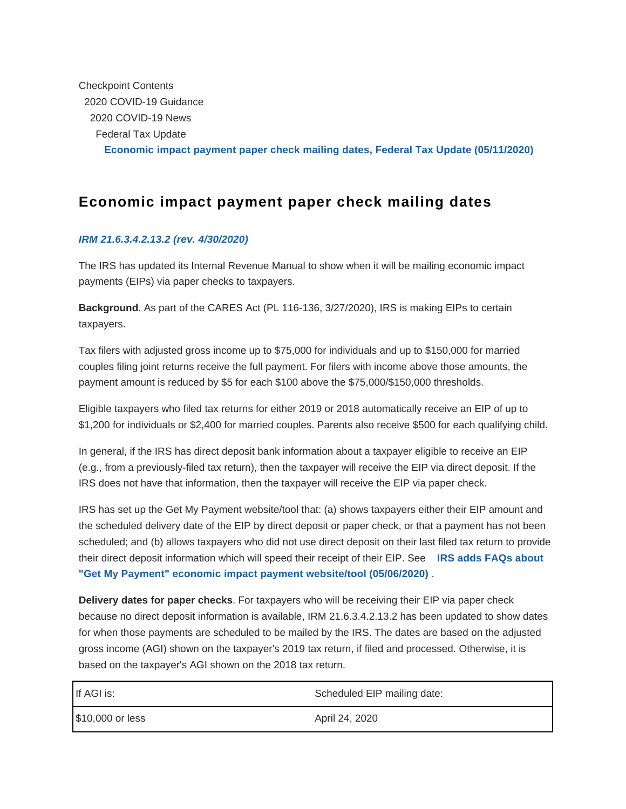Checkpoint Contents 2020 COVID-19 Guidance 2020 COVID-19 News Federal Tax Update **[Economic impact payment paper check mailing dates, Federal Tax Update \(05/1](https://checkpoint.riag.com/app/find?begParm=y&appVer=20.03&dbName=FEDNEWS&linkType=docloc&locId=i6c8228530e2645cbab2f610eac6f3825&ods=NLNEWS20B&permaId=I6c8228530e2645cbab2f610eac6f3825&permaType=doc&tagName=DOC-WRAPPER&endParm=y)1/2020)**

## **Economic impact payment paper check mailing dates**

## **[IRM 21.6.3.4.2.13.2 \(rev. 4/30/2020\)](/app/view/frameBlob?usid=2d2be0nfb39e&BLOBID=/resource/TX/irmeip&DocID=I6c8228530e2645cbab2f610eac6f3825&StyleSheetId=11&_=1589254511376&docTid=T0FEDNEWS%3AI6c8228530e2645c-2&docTrayId=905af8.13229a9&docViewProp=displayCompassExport%3Dfalse%5E%5EshowAnnotationsExport%3Dtrue%5E%5Eformat%3DPDF%5E%5EshowHighlightAnnotationsExport%3Dfalse%5E%5Eexport%3Dtrue&exportLinks=true&faction=create&feature=tcheckpoint&format=PDF&lastCpReqId=13229ac&lknFwd=download&preview=y§ionOnlySearch=&tool=export&toolsContent=null&toolsData=&toolsFormClipText=&toolsFormDocCite=&toolsFormDocList=&toolsFormOrigUrl=%2Fapp%2Fview%2FdocText%3Fusid%3D2d2be0nfb39e%26DocID%3DI6c8228530e2645cbab2f610eac6f3825%26docTid%3DT0FEDNEWS%253AI6c8228530e2645c-2%26feature%3Dtcheckpoint%26lastCpReqId%3D13228b9%26preview%3Dy&toolsFormToolId=export&toolsTocGuid=&workReq=SRQ1311409.39328)**

The IRS has updated its Internal Revenue Manual to show when it will be mailing economic impact payments (EIPs) via paper checks to taxpayers.

**Background**. As part of the CARES Act (PL 116-136, 3/27/2020), IRS is making EIPs to certain taxpayers.

Tax filers with adjusted gross income up to \$75,000 for individuals and up to \$150,000 for married couples filing joint returns receive the full payment. For filers with income above those amounts, the payment amount is reduced by \$5 for each \$100 above the \$75,000/\$150,000 thresholds.

Eligible taxpayers who filed tax returns for either 2019 or 2018 automatically receive an EIP of up to \$1,200 for individuals or \$2,400 for married couples. Parents also receive \$500 for each qualifying child.

In general, if the IRS has direct deposit bank information about a taxpayer eligible to receive an EIP (e.g., from a previously-filed tax return), then the taxpayer will receive the EIP via direct deposit. If the IRS does not have that information, then the taxpayer will receive the EIP via paper check.

IRS has set up the Get My Payment website/tool that: (a) shows taxpayers either their EIP amount and the scheduled delivery date of the EIP by direct deposit or paper check, or that a payment has not been scheduled; and (b) allows taxpayers who did not use direct deposit on their last filed tax return to provide their direct deposit information which will speed their receipt of their EIP. See **[IRS adds FAQs about](https://checkpoint.riag.com/app/find?begParm=y&app.version=20.03&dbName=FEDNEWS&linkType=docloc&locId=i9dcf40099e5a40e6863923d24d990444&permaId=I9dcf40099e5a40e6863923d24d990444&tagName=DOC-WRAPPER&endParm=y) ["Get My Payment" economic impact payment website/tool \(05/06/2020\)](https://checkpoint.riag.com/app/find?begParm=y&app.version=20.03&dbName=FEDNEWS&linkType=docloc&locId=i9dcf40099e5a40e6863923d24d990444&permaId=I9dcf40099e5a40e6863923d24d990444&tagName=DOC-WRAPPER&endParm=y)** .

**Delivery dates for paper checks**. For taxpayers who will be receiving their EIP via paper check because no direct deposit information is available, IRM 21.6.3.4.2.13.2 has been updated to show dates for when those payments are scheduled to be mailed by the IRS. The dates are based on the adjusted gross income (AGI) shown on the taxpayer's 2019 tax return, if filed and processed. Otherwise, it is based on the taxpayer's AGI shown on the 2018 tax return.

| If AGI is:       | Scheduled EIP mailing date: |
|------------------|-----------------------------|
| \$10,000 or less | April 24, 2020              |